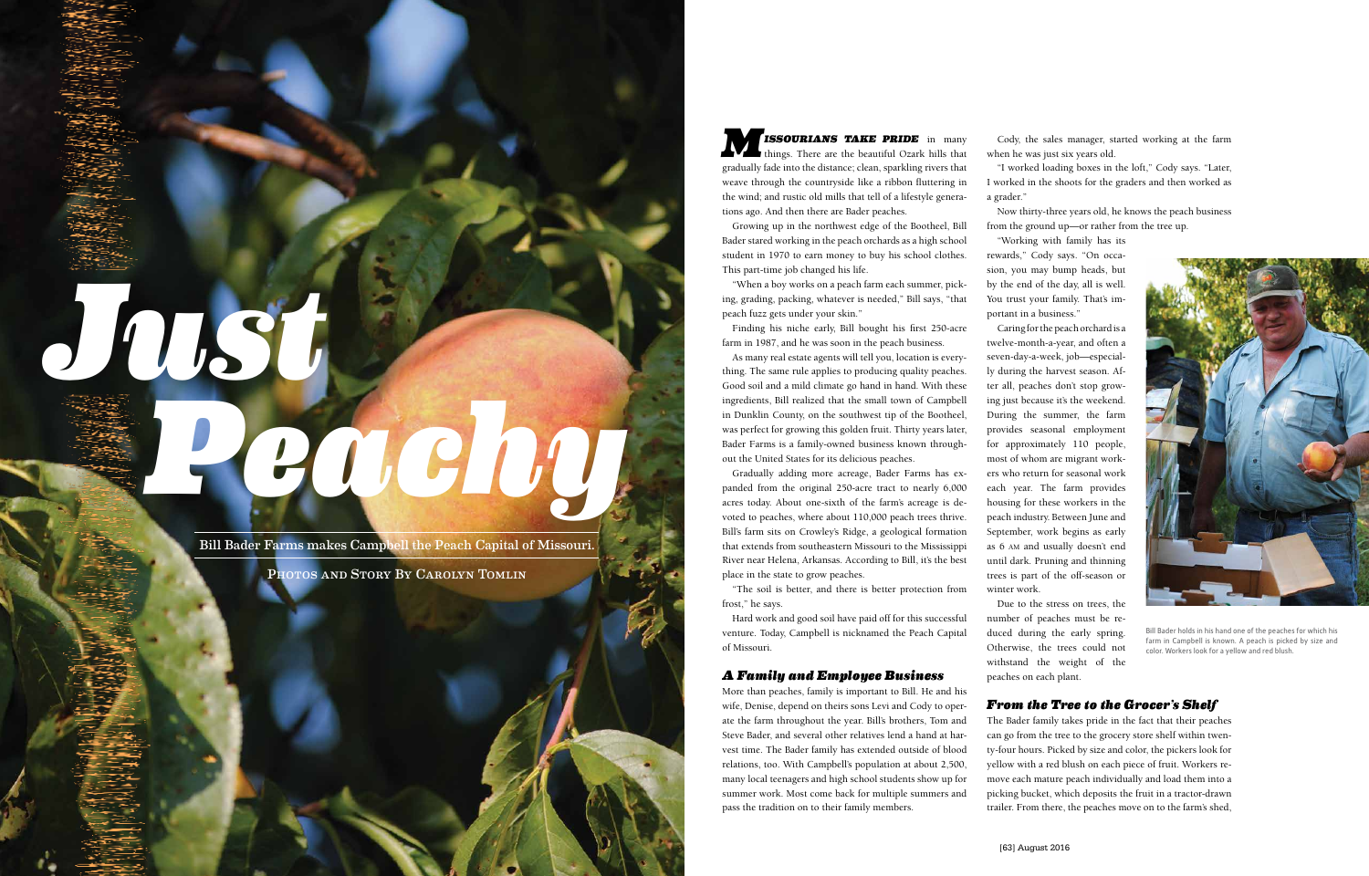**ISSOURIANS TAKE PRIDE** in many things. There are the beautiful Ozark hills that gradually fade into the distance; clean, sparkling rivers that weave through the countryside like a ribbon fluttering in the wind; and rustic old mills that tell of a lifestyle generations ago. And then there are Bader peaches.

Growing up in the northwest edge of the Bootheel, Bill Bader stared working in the peach orchards as a high school student in 1970 to earn money to buy his school clothes. This part-time job changed his life.

"When a boy works on a peach farm each summer, picking, grading, packing, whatever is needed," Bill says, "that peach fuzz gets under your skin."

Finding his niche early, Bill bought his first 250-acre farm in 1987, and he was soon in the peach business.

As many real estate agents will tell you, location is everything. The same rule applies to producing quality peaches. Good soil and a mild climate go hand in hand. With these ingredients, Bill realized that the small town of Campbell in Dunklin County, on the southwest tip of the Bootheel, was perfect for growing this golden fruit. Thirty years later, Bader Farms is a family-owned business known throughout the United States for its delicious peaches.

Gradually adding more acreage, Bader Farms has expanded from the original 250-acre tract to nearly 6,000 acres today. About one-sixth of the farm's acreage is devoted to peaches, where about 110,000 peach trees thrive. Bill's farm sits on Crowley's Ridge, a geological formation that extends from southeastern Missouri to the Mississippi River near Helena, Arkansas. According to Bill, it's the best place in the state to grow peaches.

"The soil is better, and there is better protection from frost," he says.

Hard work and good soil have paid off for this successful venture. Today, Campbell is nicknamed the Peach Capital of Missouri.

## *A Family and Employee Business*

More than peaches, family is important to Bill. He and his wife, Denise, depend on theirs sons Levi and Cody to operate the farm throughout the year. Bill's brothers, Tom and Steve Bader, and several other relatives lend a hand at harvest time. The Bader family has extended outside of blood relations, too. With Campbell's population at about 2,500, many local teenagers and high school students show up for summer work. Most come back for multiple summers and pass the tradition on to their family members.

Cody, the sales manager, started working at the farm when he was just six years old.

"I worked loading boxes in the loft," Cody says. "Later, I worked in the shoots for the graders and then worked as

a grader."

Now thirty-three years old, he knows the peach business from the ground up—or rather from the tree up.

"Working with family has its rewards," Cody says. "On occasion, you may bump heads, but by the end of the day, all is well. You trust your family. That's important in a business."

Caring for the peach orchard is a twelve-month-a-year, and often a seven-day-a-week, job—especially during the harvest season. After all, peaches don't stop growing just because it's the weekend. During the summer, the farm provides seasonal employment for approximately 110 people, most of whom are migrant workers who return for seasonal work each year. The farm provides housing for these workers in the peach industry. Between June and September, work begins as early as 6 am and usually doesn't end until dark. Pruning and thinning trees is part of the off-season or winter work.

Due to the stress on trees, the number of peaches must be reduced during the early spring. Otherwise, the trees could not withstand the weight of the peaches on each plant.

# *From the Tree to the Grocer's Shelf*

The Bader family takes pride in the fact that their peaches can go from the tree to the grocery store shelf within twenty-four hours. Picked by size and color, the pickers look for yellow with a red blush on each piece of fruit. Workers remove each mature peach individually and load them into a picking bucket, which deposits the fruit in a tractor-drawn trailer. From there, the peaches move on to the farm's shed,

Bill Bader Farms makes Campbell the Peach Capital of Missouri.

*Just*

PHOTOS AND STORY BY CAROLYN TOMLIN



Bill Bader holds in his hand one of the peaches for which his farm in Campbell is known. A peach is picked by size and color. Workers look for a yellow and red blush.

*Peachy*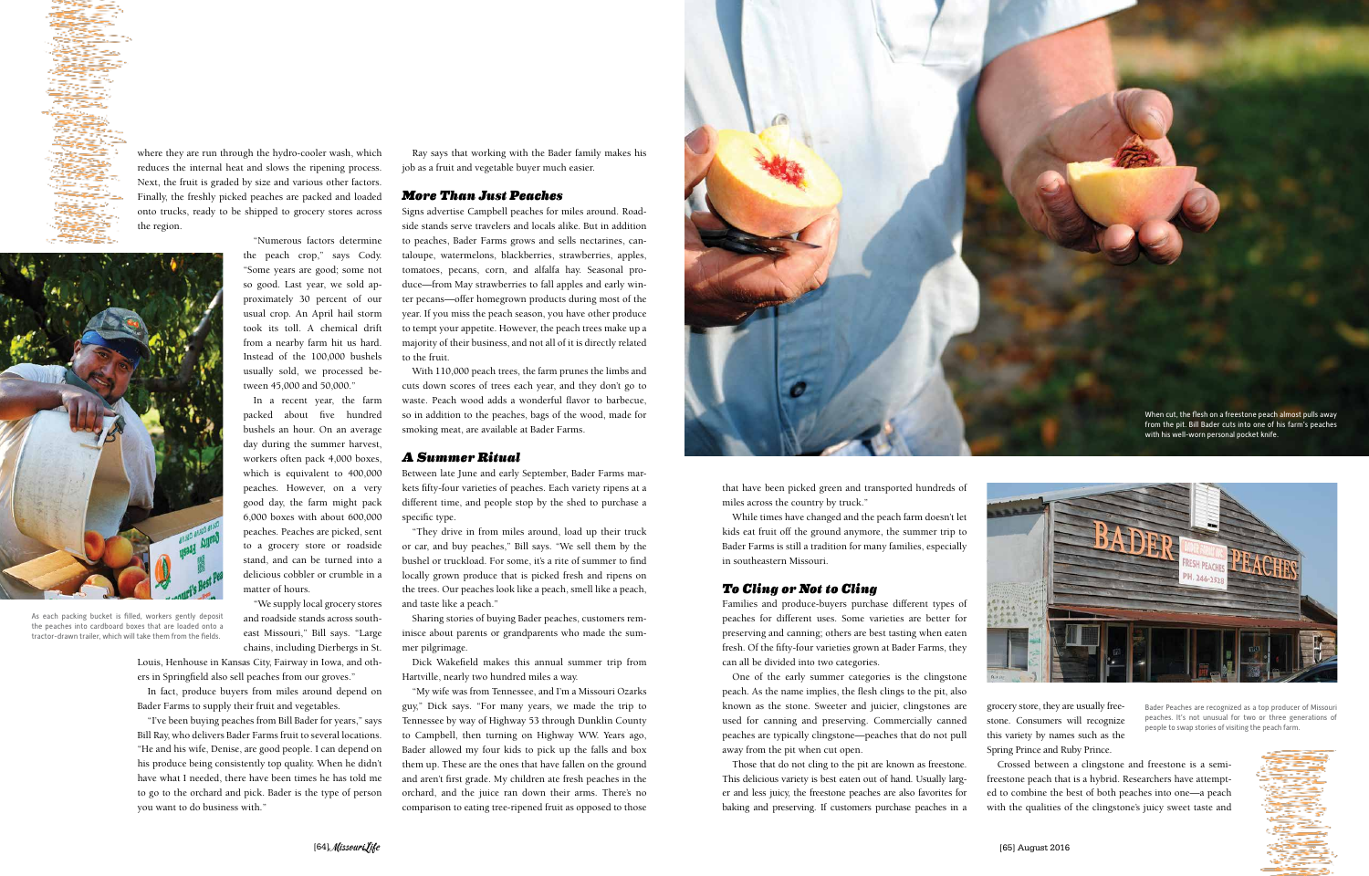that have been picked green and transported hundreds of miles across the country by truck."

While times have changed and the peach farm doesn't let kids eat fruit off the ground anymore, the summer trip to Bader Farms is still a tradition for many families, especially in southeastern Missouri.

#### *To Cling or Not to Cling*

Families and produce-buyers purchase different types of peaches for different uses. Some varieties are better for preserving and canning; others are best tasting when eaten fresh. Of the fifty-four varieties grown at Bader Farms, they can all be divided into two categories.

One of the early summer categories is the clingstone peach. As the name implies, the flesh clings to the pit, also known as the stone. Sweeter and juicier, clingstones are used for canning and preserving. Commercially canned peaches are typically clingstone—peaches that do not pull away from the pit when cut open.

Those that do not cling to the pit are known as freestone. This delicious variety is best eaten out of hand. Usually larger and less juicy, the freestone peaches are also favorites for baking and preserving. If customers purchase peaches in a



grocery store, they are usually freestone. Consumers will recognize this variety by names such as the Spring Prince and Ruby Prince.

Crossed between a clingstone and freestone is a semifreestone peach that is a hybrid. Researchers have attempted to combine the best of both peaches into one—a peach with the qualities of the clingstone's juicy sweet taste and





where they are run through the hydro-cooler wash, which reduces the internal heat and slows the ripening process. Next, the fruit is graded by size and various other factors. Finally, the freshly picked peaches are packed and loaded onto trucks, ready to be shipped to grocery stores across the region.

"Numerous factors determine

the peach crop," says Cody. "Some years are good; some not so good. Last year, we sold approximately 30 percent of our usual crop. An April hail storm took its toll. A chemical drift from a nearby farm hit us hard. Instead of the 100,000 bushels usually sold, we processed be-

tween 45,000 and 50,000."

In a recent year, the farm packed about five hundred bushels an hour. On an average day during the summer harvest, workers often pack 4,000 boxes, which is equivalent to 400,000 peaches. However, on a very good day, the farm might pack 6,000 boxes with about 600,000 peaches. Peaches are picked, sent to a grocery store or roadside stand, and can be turned into a delicious cobbler or crumble in a matter of hours.

"We supply local grocery stores and roadside stands across southeast Missouri," Bill says. "Large chains, including Dierbergs in St.

Louis, Henhouse in Kansas City, Fairway in Iowa, and others in Springfield also sell peaches from our groves."

In fact, produce buyers from miles around depend on Bader Farms to supply their fruit and vegetables.

"I've been buying peaches from Bill Bader for years," says Bill Ray, who delivers Bader Farms fruit to several locations. "He and his wife, Denise, are good people. I can depend on his produce being consistently top quality. When he didn't have what I needed, there have been times he has told me to go to the orchard and pick. Bader is the type of person you want to do business with."

Ray says that working with the Bader family makes his job as a fruit and vegetable buyer much easier.

### *More Than Just Peaches*

Signs advertise Campbell peaches for miles around. Roadside stands serve travelers and locals alike. But in addition to peaches, Bader Farms grows and sells nectarines, cantaloupe, watermelons, blackberries, strawberries, apples, tomatoes, pecans, corn, and alfalfa hay. Seasonal produce—from May strawberries to fall apples and early winter pecans—offer homegrown products during most of the year. If you miss the peach season, you have other produce to tempt your appetite. However, the peach trees make up a majority of their business, and not all of it is directly related to the fruit.

With 110,000 peach trees, the farm prunes the limbs and cuts down scores of trees each year, and they don't go to waste. Peach wood adds a wonderful flavor to barbecue, so in addition to the peaches, bags of the wood, made for smoking meat, are available at Bader Farms.

#### *A Summer Ritual*

Between late June and early September, Bader Farms markets fifty-four varieties of peaches. Each variety ripens at a different time, and people stop by the shed to purchase a specific type.

"They drive in from miles around, load up their truck or car, and buy peaches," Bill says. "We sell them by the bushel or truckload. For some, it's a rite of summer to find locally grown produce that is picked fresh and ripens on the trees. Our peaches look like a peach, smell like a peach, and taste like a peach."

Sharing stories of buying Bader peaches, customers reminisce about parents or grandparents who made the summer pilgrimage.

Dick Wakefield makes this annual summer trip from Hartville, nearly two hundred miles a way.

"My wife was from Tennessee, and I'm a Missouri Ozarks guy," Dick says. "For many years, we made the trip to Tennessee by way of Highway 53 through Dunklin County to Campbell, then turning on Highway WW. Years ago, Bader allowed my four kids to pick up the falls and box them up. These are the ones that have fallen on the ground and aren't first grade. My children ate fresh peaches in the orchard, and the juice ran down their arms. There's no comparison to eating tree-ripened fruit as opposed to those



As each packing bucket is filled, workers gently deposit the peaches into cardboard boxes that are loaded onto a tractor-drawn trailer, which will take them from the fields.

Bader Peaches are recognized as a top producer of Missouri peaches. It's not unusual for two or three generations of people to swap stories of visiting the peach farm.